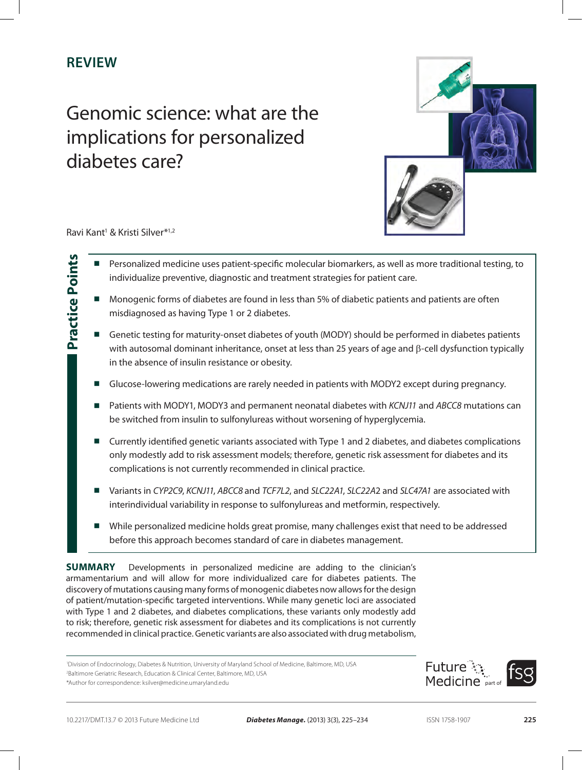# **Review**

# Genomic science: what are the implications for personalized diabetes care?



Ravi Kant<sup>1</sup> & Kristi Silver<sup>\*1,2</sup>

**Practice Points**

**Practice Points** 

- Personalized medicine uses patient-specific molecular biomarkers, as well as more traditional testing, to individualize preventive, diagnostic and treatment strategies for patient care.
- Monogenic forms of diabetes are found in less than 5% of diabetic patients and patients are often misdiagnosed as having Type 1 or 2 diabetes.
- Genetic testing for maturity-onset diabetes of youth (MODY) should be performed in diabetes patients with autosomal dominant inheritance, onset at less than 25 years of age and  $\beta$ -cell dysfunction typically in the absence of insulin resistance or obesity.
- Glucose-lowering medications are rarely needed in patients with MODY2 except during pregnancy.
- Patients with MODY1, MODY3 and permanent neonatal diabetes with *KCNJ11* and *ABCC8* mutations can be switched from insulin to sulfonylureas without worsening of hyperglycemia.
- Currently identified genetic variants associated with Type 1 and 2 diabetes, and diabetes complications only modestly add to risk assessment models; therefore, genetic risk assessment for diabetes and its complications is not currently recommended in clinical practice.
- Variants in *CYP2C9*, *KCNJ11*, *ABCC8* and *TCF7L2*, and *SLC22A1*, *SLC22A*2 and *SLC47A1* are associated with interindividual variability in response to sulfonylureas and metformin, respectively.
- While personalized medicine holds great promise, many challenges exist that need to be addressed before this approach becomes standard of care in diabetes management.

**SUMMARY** Developments in personalized medicine are adding to the clinician's armamentarium and will allow for more individualized care for diabetes patients. The discovery of mutations causing many forms of monogenic diabetes now allows for the design of patient/mutation-specific targeted interventions. While many genetic loci are associated with Type 1 and 2 diabetes, and diabetes complications, these variants only modestly add to risk; therefore, genetic risk assessment for diabetes and its complications is not currently recommended in clinical practice. Genetic variants are also associated with drug metabolism,

1 Division of Endocrinology, Diabetes & Nutrition, University of Maryland School of Medicine, Baltimore, MD, USA 2 Baltimore Geriatric Research, Education & Clinical Center, Baltimore, MD, USA \*Author for correspondence: ksilver@medicine.umaryland.edu

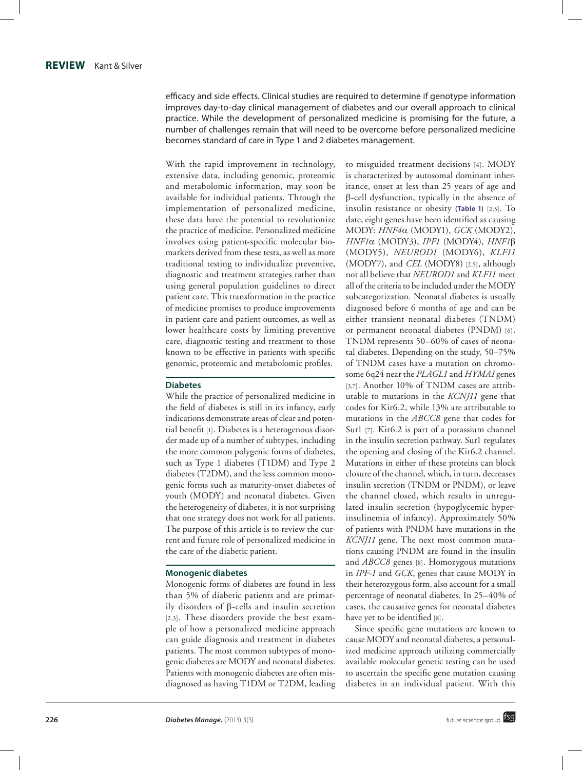efficacy and side effects. Clinical studies are required to determine if genotype information improves day-to-day clinical management of diabetes and our overall approach to clinical practice. While the development of personalized medicine is promising for the future, a number of challenges remain that will need to be overcome before personalized medicine becomes standard of care in Type 1 and 2 diabetes management.

With the rapid improvement in technology, extensive data, including genomic, proteomic and metabolomic information, may soon be available for individual patients. Through the implementation of personalized medicine, these data have the potential to revolutionize the practice of medicine. Personalized medicine involves using patient-specific molecular bio markers derived from these tests, as well as more traditional testing to individualize preventive, diagnostic and treatment strategies rather than using general population guidelines to direct patient care. This transformation in the practice of medicine promises to produce improvements in patient care and patient outcomes, as well as lower healthcare costs by limiting preventive care, diagnostic testing and treatment to those known to be effective in patients with specific genomic, proteomic and metabolomic profiles.

#### **Diabetes**

While the practice of personalized medicine in the field of diabetes is still in its infancy, early indications demonstrate areas of clear and poten tial benefit [1]. Diabetes is a heterogenous disorder made up of a number of subtypes, including the more common polygenic forms of diabetes, such as Type 1 diabetes (T1DM) and Type 2 diabetes (T2DM), and the less common mono genic forms such as maturity-onset diabetes of youth (MODY) and neonatal diabetes. Given the heterogeneity of diabetes, it is not surprising that one strategy does not work for all patients. The purpose of this article is to review the current and future role of personalized medicine in the care of the diabetic patient.

#### **Monogenic diabetes**

Monogenic forms of diabetes are found in less than 5% of diabetic patients and are primar ily disorders of  $\beta$ -cells and insulin secretion [2,3]. These disorders provide the best exam ple of how a personalized medicine approach can guide diagnosis and treatment in diabetes patients. The most common subtypes of mono genic diabetes are MODY and neonatal diabetes. Patients with monogenic diabetes are often mis diagnosed as having T1DM or T2DM, leading

to misguided treatment decisions [4]. MODY is characterized by autosomal dominant inheritance, onset at less than 25 years of age and  $\beta$ -cell dysfunction, typically in the absence of insulin resistance or obesity **(Table 1)** [2,5]. To date, eight genes have been identified as causing MODY: *HNF4*a (MODY1), *GCK* (MODY2), *HNF1*α (MODY3), *IPF1* (MODY4), *HNF1*β (MODY5), *NEUROD1* (MODY6), *KLF11* (MODY7), and *CEL* (MODY8) [2,5], although not all believe that *NEUROD1* and *KLF11* meet all of the criteria to be included under the MODY subcategorization. Neonatal diabetes is usually diagnosed before 6 months of age and can be either transient neonatal diabetes (TNDM) or permanent neonatal diabetes (PNDM) [6]. TNDM represents 50–60% of cases of neona tal diabetes. Depending on the study, 50–75% of TNDM cases have a mutation on chromo some 6q24 near the *PLAGL1* and *HYMAI* genes [3,7]. Another 10% of TNDM cases are attributable to mutations in the *KCNJ11* gene that codes for Kir6.2, while 13% are attributable to mutations in the *ABCC8* gene that codes for Sur1 [7]. Kir6.2 is part of a potassium channel in the insulin secretion pathway. Sur1 regulates the opening and closing of the Kir6.2 channel. Mutations in either of these proteins can block closure of the channel, which, in turn, decreases insulin secretion (TNDM or PNDM), or leave the channel closed, which results in unregu lated insulin secretion (hypoglycemic hyper insulinemia of infancy). Approximately 50% of patients with PNDM have mutations in the *KCNJ11* gene. The next most common muta tions causing PNDM are found in the insulin and *ABCC8* genes [8]. Homozygous mutations in *IPF-1* and *GCK*, genes that cause MODY in their heterozygous form, also account for a small percentage of neonatal diabetes. In 25–40% of cases, the causative genes for neonatal diabetes have yet to be identified [8] .

Since specific gene mutations are known to cause MODY and neonatal diabetes, a personal ized medicine approach utilizing commercially available molecular genetic testing can be used to ascertain the specific gene mutation causing diabetes in an individual patient. With this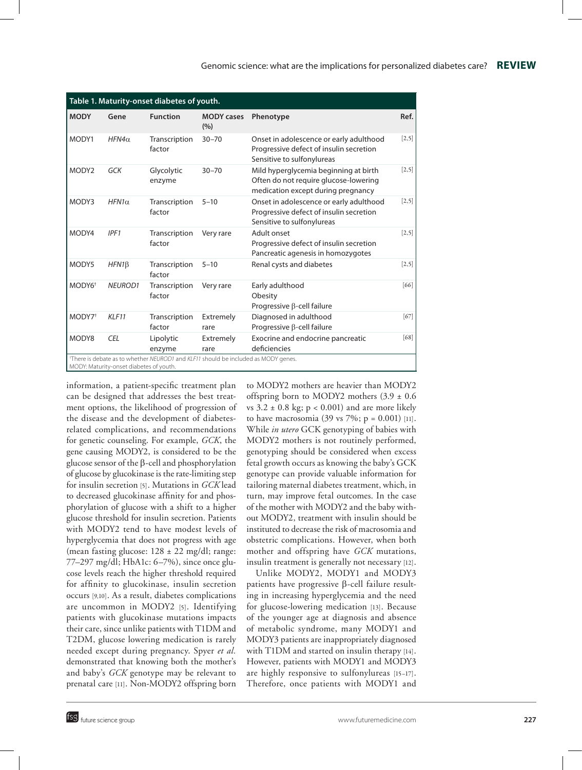| Table 1. Maturity-onset diabetes of youth.                                                                                    |                |                         |                          |                                                                                                                      |         |  |  |
|-------------------------------------------------------------------------------------------------------------------------------|----------------|-------------------------|--------------------------|----------------------------------------------------------------------------------------------------------------------|---------|--|--|
| <b>MODY</b>                                                                                                                   | Gene           | <b>Function</b>         | <b>MODY</b> cases<br>(%) | Phenotype                                                                                                            | Ref.    |  |  |
| MODY1                                                                                                                         | $HFN4\alpha$   | Transcription<br>factor | $30 - 70$                | Onset in adolescence or early adulthood<br>Progressive defect of insulin secretion<br>Sensitive to sulfonylureas     | $[2,5]$ |  |  |
| MODY <sub>2</sub>                                                                                                             | GCK            | Glycolytic<br>enzyme    | $30 - 70$                | Mild hyperglycemia beginning at birth<br>Often do not require glucose-lowering<br>medication except during pregnancy | $[2,5]$ |  |  |
| MODY3                                                                                                                         | $HFN1\alpha$   | Transcription<br>factor | $5 - 10$                 | Onset in adolescence or early adulthood<br>Progressive defect of insulin secretion<br>Sensitive to sulfonylureas     | $[2,5]$ |  |  |
| MODY4                                                                                                                         | IPF1           | Transcription<br>factor | Very rare                | Adult onset<br>Progressive defect of insulin secretion<br>Pancreatic agenesis in homozygotes                         | $[2,5]$ |  |  |
| MODY5                                                                                                                         | $HFN1\beta$    | Transcription<br>factor | $5 - 10$                 | Renal cysts and diabetes                                                                                             | $[2,5]$ |  |  |
| MODY6 <sup>+</sup>                                                                                                            | <b>NEUROD1</b> | Transcription<br>factor | Very rare                | Early adulthood<br>Obesity<br>Progressive $\beta$ -cell failure                                                      | [66]    |  |  |
| MODY7 <sup>†</sup>                                                                                                            | KLF11          | Transcription<br>factor | Extremely<br>rare        | Diagnosed in adulthood<br>Progressive $\beta$ -cell failure                                                          | $[67]$  |  |  |
| MODY8                                                                                                                         | <b>CEL</b>     | Lipolytic<br>enzyme     | Extremely<br>rare        | Exocrine and endocrine pancreatic<br>deficiencies                                                                    | [68]    |  |  |
| *There is debate as to whether NEUROD1 and KLF11 should be included as MODY genes.<br>MODY: Maturity-onset diabetes of youth. |                |                         |                          |                                                                                                                      |         |  |  |

information, a patient-specific treatment plan can be designed that addresses the best treatment options, the likelihood of progression of the disease and the development of diabetesrelated complications, and recommendations for genetic counseling. For example, *GCK*, the gene causing MODY2, is considered to be the glucose sensor of the  $\beta$ -cell and phosphorylation of glucose by glucokinase is the rate-limiting step for insulin secretion [5]. Mutations in *GCK* lead to decreased glucokinase affinity for and phosphorylation of glucose with a shift to a higher glucose threshold for insulin secretion. Patients with MODY2 tend to have modest levels of hyperglycemia that does not progress with age (mean fasting glucose:  $128 \pm 22$  mg/dl; range: 77–297 mg/dl; HbA1c: 6–7%), since once glucose levels reach the higher threshold required for affinity to glucokinase, insulin secretion occurs [9,10]. As a result, diabetes complications are uncommon in MODY2 [5]. Identifying patients with glucokinase mutations impacts their care, since unlike patients with T1DM and T2DM, glucose lowering medication is rarely needed except during pregnancy. Spyer *et al.* demonstrated that knowing both the mother's and baby's *GCK* genotype may be relevant to prenatal care [11]. Non-MODY2 offspring born to MODY2 mothers are heavier than MODY2 offspring born to MODY2 mothers  $(3.9 \pm 0.6)$ vs  $3.2 \pm 0.8$  kg; p < 0.001) and are more likely to have macrosomia (39 vs  $7\%$ ; p = 0.001) [11]. While *in utero* GCK genotyping of babies with MODY2 mothers is not routinely performed, genotyping should be considered when excess fetal growth occurs as knowing the baby's GCK genotype can provide valuable information for tailoring maternal diabetes treatment, which, in turn, may improve fetal outcomes. In the case of the mother with MODY2 and the baby without MODY2, treatment with insulin should be instituted to decrease the risk of macrosomia and obstetric complications. However, when both mother and offspring have *GCK* mutations, insulin treatment is generally not necessary [12].

Unlike MODY2, MODY1 and MODY3 patients have progressive  $\beta$ -cell failure resulting in increasing hyperglycemia and the need for glucose-lowering medication [13]. Because of the younger age at diagnosis and absence of metabolic syndrome, many MODY1 and MODY3 patients are inappropriately diagnosed with T1DM and started on insulin therapy [14]. However, patients with MODY1 and MODY3 are highly responsive to sulfonylureas [15–17]. Therefore, once patients with MODY1 and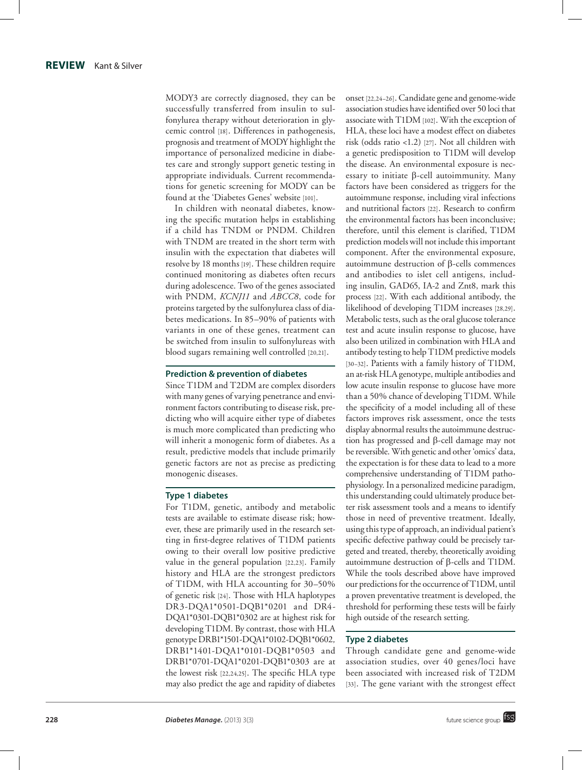MODY3 are correctly diagnosed, they can be successfully transferred from insulin to sul fonylurea therapy without deterioration in glycemic control [18]. Differences in pathogenesis, prognosis and treatment of MODY highlight the importance of personalized medicine in diabe tes care and strongly support genetic testing in appropriate individuals. Current recommenda tions for genetic screening for MODY can be found at the 'Diabetes Genes' website [101] .

In children with neonatal diabetes, know ing the specific mutation helps in establishing if a child has TNDM or PNDM. Children with TNDM are treated in the short term with insulin with the expectation that diabetes will resolve by 18 months [19]. These children require continued monitoring as diabetes often recurs during adolescence. Two of the genes associated with PNDM, *KCNJ11* and *ABCC8*, code for proteins targeted by the sulfonylurea class of dia betes medications. In 85–90% of patients with variants in one of these genes, treatment can be switched from insulin to sulfonylureas with blood sugars remaining well controlled [20,21] .

#### **Prediction & prevention of diabetes**

Since T1DM and T2DM are complex disorders with many genes of varying penetrance and envi ronment factors contributing to disease risk, pre dicting who will acquire either type of diabetes is much more complicated than predicting who will inherit a monogenic form of diabetes. As a result, predictive models that include primarily genetic factors are not as precise as predicting monogenic diseases.

#### **Type 1 diabetes**

For T1DM, genetic, antibody and metabolic tests are available to estimate disease risk; however, these are primarily used in the research setting in first-degree relatives of T1DM patients owing to their overall low positive predictive value in the general population [22,23]. Family history and HLA are the strongest predictors of T1DM, with HLA accounting for 30–50% of genetic risk [24]. Those with HLA haplotypes DR3 *-*DQA1\*0501 *-*DQB1\*0201 and DR4 *-* DQA1\*0301 *-*DQB1\*0302 are at highest risk for developing T1DM. By contrast, those with HLA genotype DRB1\*1501 *-*DQA1\*0102 *-*DQB1\*0602*,*  DRB1\*1401-DQA1\*0101 *-*DQB1\*0503 and DRB1\*0701 *-*DQA1\*0201 *-*DQB1\*0303 are at the lowest risk [22,24,25]. The specific HLA type may also predict the age and rapidity of diabetes

onset [22,24–26]. Candidate gene and genome-wide association studies have identified over 50 loci that associate with T1DM [102]. With the exception of HLA, these loci have a modest effect on diabetes risk (odds ratio <1.2) [27]. Not all children with a genetic predisposition to T1DM will develop the disease. An environmental exposure is nec essary to initiate b-cell autoimmunity. Many factors have been considered as triggers for the autoimmune response, including viral infections and nutritional factors [22]. Research to confirm the environmental factors has been inconclusive; therefore, until this element is clarified, T1DM prediction models will not include this important component. After the environmental exposure, autoimmune destruction of  $\beta$ -cells commences and antibodies to islet cell antigens, includ ing insulin, GAD65, IA-2 and Znt8, mark this process [22]. With each additional antibody, the likelihood of developing T1DM increases [28,29]. Metabolic tests, such as the oral glucose tolerance test and acute insulin response to glucose, have also been utilized in combination with HLA and antibody testing to help T1DM predictive models [30–32]. Patients with a family history of T1DM, an at-risk HLA genotype, multiple antibodies and low acute insulin response to glucose have more than a 50% chance of developing T1DM. While the specificity of a model including all of these factors improves risk assessment, once the tests display abnormal results the autoimmune destruc tion has progressed and b-cell damage may not be reversible. With genetic and other 'omics' data, the expectation is for these data to lead to a more comprehensive understanding of T1DM patho physiology. In a personalized medicine paradigm, this understanding could ultimately produce better risk assessment tools and a means to identify those in need of preventive treatment. Ideally, using this type of approach, an individual patient's specific defective pathway could be precisely targeted and treated, thereby, theoretically avoiding autoimmune destruction of  $\beta$ -cells and T1DM. While the tools described above have improved our predictions for the occurrence of T1DM, until a proven preventative treatment is developed, the threshold for performing these tests will be fairly high outside of the research setting.

# **Type 2 diabetes**

Through candidate gene and genome-wide association studies, over 40 genes/loci have been associated with increased risk of T2DM [33]. The gene variant with the strongest effect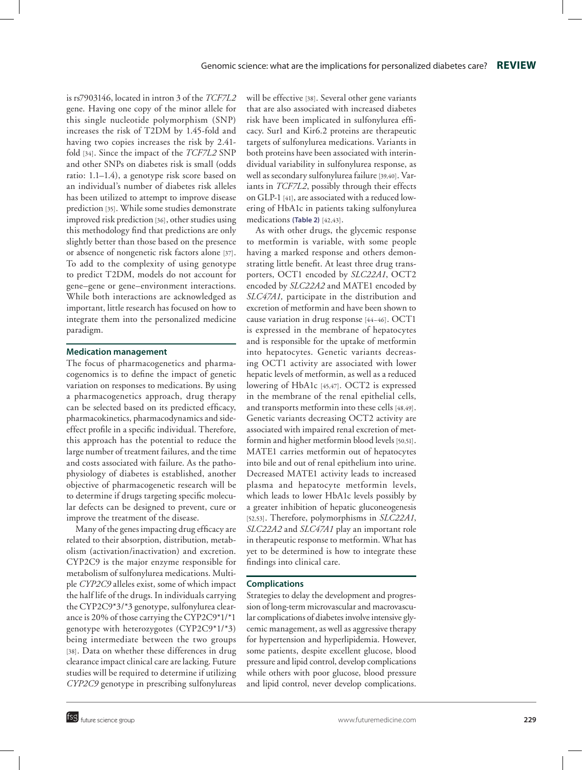is rs7903146, located in intron 3 of the *TCF7L2* gene. Having one copy of the minor allele for this single nucleotide polymorphism (SNP) increases the risk of T2DM by 1.45-fold and having two copies increases the risk by 2.41 fold [34]. Since the impact of the *TCF7L2* SNP and other SNPs on diabetes risk is small (odds ratio: 1.1–1.4), a genotype risk score based on an individual's number of diabetes risk alleles has been utilized to attempt to improve disease prediction [35]. While some studies demonstrate improved risk prediction [36], other studies using this methodology find that predictions are only slightly better than those based on the presence or absence of nongenetic risk factors alone [37]. To add to the complexity of using genotype to predict T2DM, models do not account for gene–gene or gene–environment interactions. While both interactions are acknowledged as important, little research has focused on how to integrate them into the personalized medicine paradigm.

# **Medication management**

The focus of pharmacogenetics and pharma cogenomics is to define the impact of genetic variation on responses to medications. By using a pharmacogenetics approach, drug therapy can be selected based on its predicted efficacy, pharmacokinetics, pharmacodynamics and sideeffect profile in a specific individual. Therefore, this approach has the potential to reduce the large number of treatment failures, and the time and costs associated with failure. As the patho physiology of diabetes is established, another objective of pharmacogenetic research will be to determine if drugs targeting specific molecu lar defects can be designed to prevent, cure or improve the treatment of the disease.

Many of the genes impacting drug efficacy are related to their absorption, distribution, metab olism (activation/inactivation) and excretion. CYP2C9 is the major enzyme responsible for metabolism of sulfonylurea medications. Multi ple *CYP2C9* alleles exist, some of which impact the half life of the drugs. In individuals carrying the CYP2C9\*3/\*3 genotype, sulfonylurea clearance is 20% of those carrying the CYP2C9\*1/\*1 genotype with heterozygotes (CYP2C9\*1/\*3) being intermediate between the two groups [38]. Data on whether these differences in drug clearance impact clinical care are lacking. Future studies will be required to determine if utilizing *CYP2C9* genotype in prescribing sulfonylureas will be effective [38]. Several other gene variants that are also associated with increased diabetes risk have been implicated in sulfonylurea effi cacy. Sur1 and Kir6.2 proteins are therapeutic targets of sulfonylurea medications. Variants in both proteins have been associated with interin dividual variability in sulfonylurea response, as well as secondary sulfonylurea failure [39,40]. Variants in *TCF7L2*, possibly through their effects on GLP-1 [41], are associated with a reduced lowering of HbA1c in patients taking sulfonylurea medications **(Table 2)** [42,43].

As with other drugs, the glycemic response to metformin is variable, with some people having a marked response and others demon strating little benefit. At least three drug trans porters, OCT1 encoded by *SLC22A1*, OCT2 encoded by *SLC22A2* and MATE1 encoded by *SLC47A1,* participate in the distribution and excretion of metformin and have been shown to cause variation in drug response [44–46]. OCT1 is expressed in the membrane of hepatocytes and is responsible for the uptake of metformin into hepatocytes. Genetic variants decreas ing OCT1 activity are associated with lower hepatic levels of metformin, as well as a reduced lowering of HbA1c [45,47]. OCT2 is expressed in the membrane of the renal epithelial cells, and transports metformin into these cells [48,49]. Genetic variants decreasing OCT2 activity are associated with impaired renal excretion of met formin and higher metformin blood levels [50,51]. MATE1 carries metformin out of hepatocytes into bile and out of renal epithelium into urine. Decreased MATE1 activity leads to increased plasma and hepatocyte metformin levels, which leads to lower HbA1c levels possibly by a greater inhibition of hepatic gluconeogenesis [52,53]. Therefore, polymorphisms in *SLC22A1*, *SLC22A2* and *SLC47A1* play an important role in therapeutic response to metformin. What has yet to be determined is how to integrate these findings into clinical care.

#### **Complications**

Strategies to delay the development and progres sion of long-term microvascular and macrovascu lar complications of diabetes involve intensive glycemic management, as well as aggressive therapy for hypertension and hyperlipidemia. However, some patients, despite excellent glucose, blood pressure and lipid control, develop complications while others with poor glucose, blood pressure and lipid control, never develop complications.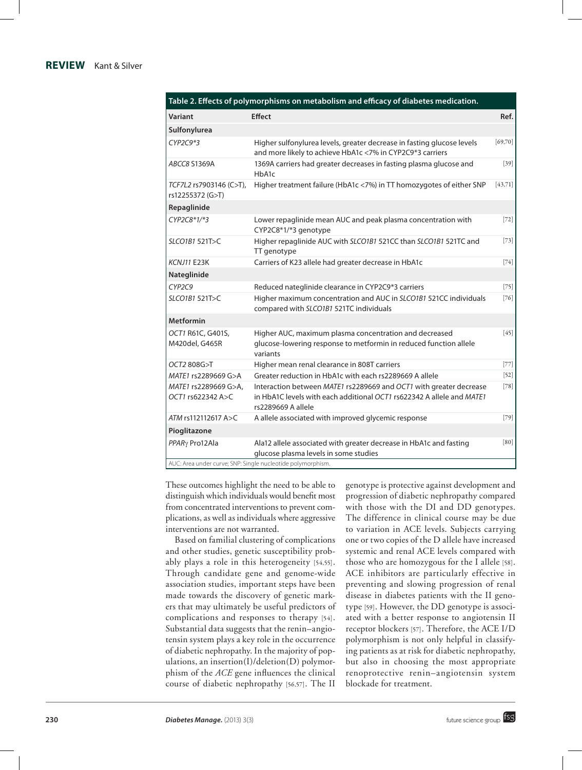# **REVIEW** Kant & Silver

#### **Table 2. Effects of polymorphisms on metabolism and efficacy of diabetes medication.**

| Variant                                     | <b>Effect</b>                                                                                                                                                     | Ref.     |
|---------------------------------------------|-------------------------------------------------------------------------------------------------------------------------------------------------------------------|----------|
| Sulfonylurea                                |                                                                                                                                                                   |          |
| $CYP2C9*3$                                  | Higher sulfonylurea levels, greater decrease in fasting glucose levels<br>and more likely to achieve HbA1c <7% in CYP2C9*3 carriers                               | [69,70]  |
| ABCC8 S1369A                                | 1369A carriers had greater decreases in fasting plasma glucose and<br>HbA1c                                                                                       | $[39]$   |
| TCF7L2 rs7903146 (C>T),<br>rs12255372 (G>T) | Higher treatment failure (HbA1c <7%) in TT homozygotes of either SNP                                                                                              | [43, 71] |
| Repaglinide                                 |                                                                                                                                                                   |          |
| CYP2C8*1/*3                                 | Lower repaglinide mean AUC and peak plasma concentration with<br>CYP2C8*1/*3 genotype                                                                             | $[72]$   |
| SLCO1B1 521T>C                              | Higher repaglinide AUC with SLCO1B1 521CC than SLCO1B1 521TC and<br>TT genotype                                                                                   | $[73]$   |
| <b>KCNJ11 E23K</b>                          | Carriers of K23 allele had greater decrease in HbA1c                                                                                                              | $[74]$   |
| Nateglinide                                 |                                                                                                                                                                   |          |
| CYP2C9                                      | Reduced nateglinide clearance in CYP2C9*3 carriers                                                                                                                | $[75]$   |
| SLCO1B1 521T>C                              | Higher maximum concentration and AUC in SLCO1B1 521CC individuals<br>compared with SLCO1B1 521TC individuals                                                      | $[76]$   |
| <b>Metformin</b>                            |                                                                                                                                                                   |          |
| OCT1 R61C, G401S,<br>M420del, G465R         | Higher AUC, maximum plasma concentration and decreased<br>glucose-lowering response to metformin in reduced function allele<br>variants                           | $[45]$   |
| OCT2 808G>T                                 | Higher mean renal clearance in 808T carriers                                                                                                                      | $[77]$   |
| MATE1 rs2289669 G>A                         | Greater reduction in HbA1c with each rs2289669 A allele                                                                                                           | $[52]$   |
| MATE1 rs2289669 G>A,<br>OCT1 rs622342 A>C   | Interaction between MATE1 rs2289669 and OCT1 with greater decrease<br>in HbA1C levels with each additional OCT1 rs622342 A allele and MATE1<br>rs2289669 A allele | $[78]$   |
| ATM rs112112617 A>C                         | A allele associated with improved glycemic response                                                                                                               | $[79]$   |
| Pioglitazone                                |                                                                                                                                                                   |          |
| PPAR <sub>Y</sub> Pro12Ala                  | Ala12 allele associated with greater decrease in HbA1c and fasting<br>glucose plasma levels in some studies                                                       | [80]     |
|                                             | AUC: Area under curve; SNP: Single nucleotide polymorphism.                                                                                                       |          |

These outcomes highlight the need to be able to distinguish which individuals would benefit most from concentrated interventions to prevent complications, as well as individuals where aggressive interventions are not warranted.

Based on familial clustering of complications and other studies, genetic susceptibility probably plays a role in this heterogeneity [54,55]. Through candidate gene and genome-wide association studies, important steps have been made towards the discovery of genetic markers that may ultimately be useful predictors of complications and responses to therapy [54]. Substantial data suggests that the renin–angiotensin system plays a key role in the occurrence of diabetic nephropathy. In the majority of populations, an insertion(I)/deletion(D) polymorphism of the *ACE* gene influences the clinical course of diabetic nephropathy [56,57]. The II

genotype is protective against development and progression of diabetic nephropathy compared with those with the DI and DD genotypes. The difference in clinical course may be due to variation in ACE levels. Subjects carrying one or two copies of the D allele have increased systemic and renal ACE levels compared with those who are homozygous for the I allele [58]. ACE inhibitors are particularly effective in preventing and slowing progression of renal disease in diabetes patients with the II genotype [59]. However, the DD genotype is associated with a better response to angiotensin II receptor blockers [57]. Therefore, the ACE I/D polymorphism is not only helpful in classifying patients as at risk for diabetic nephropathy, but also in choosing the most appropriate renoprotective renin–angiotensin system blockade for treatment.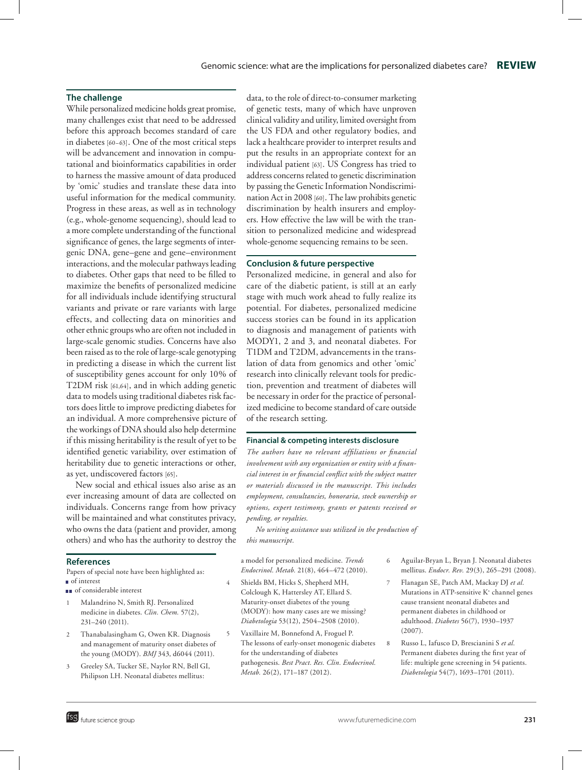# **The challenge**

While personalized medicine holds great promise, many challenges exist that need to be addressed before this approach becomes standard of care in diabetes [60–63]. One of the most critical steps will be advancement and innovation in computational and bioinformatics capabilities in order to harness the massive amount of data produced by 'omic' studies and translate these data into useful information for the medical community. Progress in these areas, as well as in technology (e.g., whole-genome sequencing), should lead to a more complete understanding of the functional significance of genes, the large segments of intergenic DNA, gene–gene and gene–environment interactions, and the molecular pathways leading to diabetes. Other gaps that need to be filled to maximize the benefits of personalized medicine for all individuals include identifying structural variants and private or rare variants with large effects, and collecting data on minorities and other ethnic groups who are often not included in large-scale genomic studies. Concerns have also been raised as to the role of large-scale genotyping in predicting a disease in which the current list of susceptibility genes account for only 10% of T2DM risk [61,64], and in which adding genetic data to models using traditional diabetes risk factors does little to improve predicting diabetes for an individual. A more comprehensive picture of the workings of DNA should also help determine if this missing heritability is the result of yet to be identified genetic variability, over estimation of heritability due to genetic interactions or other, as yet, undiscovered factors [65].

New social and ethical issues also arise as an ever increasing amount of data are collected on individuals. Concerns range from how privacy will be maintained and what constitutes privacy, who owns the data (patient and provider, among others) and who has the authority to destroy the

#### **References**

Papers of special note have been highlighted as: <sup>n</sup> of interest

- n of considerable interest
- 1 Malandrino N, Smith RJ. Personalized medicine in diabetes. *Clin. Chem.* 57(2), 231–240 (2011).
- 2 Thanabalasingham G, Owen KR. Diagnosis and management of maturity onset diabetes of the young (MODY). *BMJ* 343, d6044 (2011).
- 3 Greeley SA, Tucker SE, Naylor RN, Bell GI, Philipson LH. Neonatal diabetes mellitus:

data, to the role of direct-to-consumer marketing of genetic tests, many of which have unproven clinical validity and utility, limited oversight from the US FDA and other regulatory bodies, and lack a healthcare provider to interpret results and put the results in an appropriate context for an individual patient [63]. US Congress has tried to address concerns related to genetic discrimination by passing the Genetic Information Nondiscrimination Act in 2008 [60]. The law prohibits genetic discrimination by health insurers and employers. How effective the law will be with the transition to personalized medicine and widespread whole-genome sequencing remains to be seen.

# **Conclusion & future perspective**

Personalized medicine, in general and also for care of the diabetic patient, is still at an early stage with much work ahead to fully realize its potential. For diabetes, personalized medicine success stories can be found in its application to diagnosis and management of patients with MODY1, 2 and 3, and neonatal diabetes. For T1DM and T2DM, advancements in the translation of data from genomics and other 'omic' research into clinically relevant tools for prediction, prevention and treatment of diabetes will be necessary in order for the practice of personalized medicine to become standard of care outside of the research setting.

#### **Financial & competing interests disclosure**

*The authors have no relevant affiliations or financial involvement with any organization or entity with a financial interest in or financial conflict with the subject matter or materials discussed in the manuscript. This includes employment, consultancies, honoraria, stock ownership or options, expert testimony, grants or patents received or pending, or royalties.*

*No writing assistance was utilized in the production of this manuscript.*

a model for personalized medicine. *Trends Endocrinol. Metab.* 21(8), 464–472 (2010).

- Shields BM, Hicks S, Shepherd MH, Colclough K, Hattersley AT, Ellard S. Maturity-onset diabetes of the young (MODY): how many cases are we missing? *Diabetologia* 53(12), 2504–2508 (2010).
- 5 Vaxillaire M, Bonnefond A, Froguel P. The lessons of early-onset monogenic diabetes for the understanding of diabetes pathogenesis. *Best Pract. Res. Clin. Endocrinol. Metab.* 26(2), 171–187 (2012).
- 6 Aguilar-Bryan L, Bryan J. Neonatal diabetes mellitus. *Endocr. Rev.* 29(3), 265–291 (2008).
- 7 Flanagan SE, Patch AM, Mackay DJ *et al.* Mutations in ATP-sensitive K<sup>+</sup> channel genes cause transient neonatal diabetes and permanent diabetes in childhood or adulthood. *Diabetes* 56(7), 1930–1937 (2007).
- 8 Russo L, Iafusco D, Brescianini S *et al.* Permanent diabetes during the first year of life: multiple gene screening in 54 patients. *Diabetologia* 54(7), 1693–1701 (2011).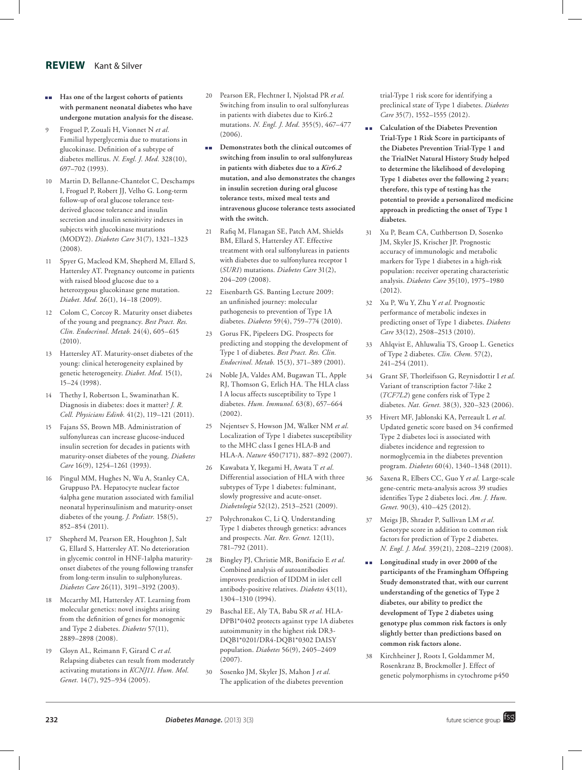# **REVIEW** Kant & Silver

- $\blacksquare$  Has one of the largest cohorts of patients **with permanent neonatal diabetes who have undergone mutation analysis for the disease.**
- 9 Froguel P, Zouali H, Vionnet N *et al.* Familial hyperglycemia due to mutations in glucokinase. Definition of a subtype of diabetes mellitus. *N. Engl. J. Med.* 328(10), 697–702 (1993).
- Martin D, Bellanne-Chantelot C, Deschamps I, Froguel P, Robert JJ, Velho G. Long-term follow-up of oral glucose tolerance testderived glucose tolerance and insulin secretion and insulin sensitivity indexes in subjects with glucokinase mutations (MODY2). *Diabetes Care* 31(7), 1321–1323 (2008).
- 11 Spyer G, Macleod KM, Shepherd M, Ellard S, Hattersley AT. Pregnancy outcome in patients with raised blood glucose due to a heterozygous glucokinase gene mutation. *Diabet. Med.* 26(1), 14–18 (2009).
- 12 Colom C, Corcoy R. Maturity onset diabetes of the young and pregnancy. *Best Pract. Res. Clin. Endocrinol. Metab.* 24(4), 605–615 (2010).
- 13 Hattersley AT. Maturity-onset diabetes of the young: clinical heterogeneity explained by genetic heterogeneity. *Diabet. Med.* 15(1), 15–24 (1998).
- 14 Thethy I, Robertson L, Swaminathan K. Diagnosis in diabetes: does it matter? *J. R. Coll. Physicians Edinb.* 41(2), 119–121 (2011).
- 15 Fajans SS, Brown MB. Administration of sulfonylureas can increase glucose-induced insulin secretion for decades in patients with maturity-onset diabetes of the young. *Diabetes Care* 16(9), 1254–1261 (1993).
- 16 Pingul MM, Hughes N, Wu A, Stanley CA, Gruppuso PA. Hepatocyte nuclear factor 4alpha gene mutation associated with familial neonatal hyperinsulinism and maturity-onset diabetes of the young. *J. Pediatr.* 158(5), 852–854 (2011).
- 17 Shepherd M, Pearson ER, Houghton J, Salt G, Ellard S, Hattersley AT. No deterioration in glycemic control in HNF-1alpha maturityonset diabetes of the young following transfer from long-term insulin to sulphonylureas. *Diabetes Care* 26(11), 3191–3192 (2003).
- Mccarthy MI, Hattersley AT. Learning from molecular genetics: novel insights arising from the definition of genes for monogenic and Type 2 diabetes. *Diabetes* 57(11), 2889–2898 (2008).
- 19 Gloyn AL, Reimann F, Girard C *et al.* Relapsing diabetes can result from moderately activating mutations in *KCNJ11*. *Hum. Mol. Genet.* 14(7), 925–934 (2005).
- 20 Pearson ER, Flechtner I, Njolstad PR *et al.* Switching from insulin to oral sulfonylureas in patients with diabetes due to Kir6.2 mutations. *N. Engl. J. Med.* 355(5), 467–477  $(2006)$ .
- **n** Demonstrates both the clinical outcomes of **switching from insulin to oral sulfonylureas in patients with diabetes due to a** *Kir6.2* **mutation, and also demonstrates the changes in insulin secretion during oral glucose tolerance tests, mixed meal tests and intravenous glucose tolerance tests associated with the switch.**
- 21 Rafiq M, Flanagan SE, Patch AM, Shields BM, Ellard S, Hattersley AT. Effective treatment with oral sulfonylureas in patients with diabetes due to sulfonylurea receptor 1 (*SUR1*) mutations. *Diabetes Care* 31(2), 204–209 (2008).
- 22 Eisenbarth GS. Banting Lecture 2009: an unfinished journey: molecular pathogenesis to prevention of Type 1A diabetes. *Diabetes* 59(4), 759–774 (2010).
- 23 Gorus FK, Pipeleers DG. Prospects for predicting and stopping the development of Type 1 of diabetes. *Best Pract. Res. Clin. Endocrinol. Metab.* 15(3), 371–389 (2001).
- 24 Noble JA, Valdes AM, Bugawan TL, Apple RJ, Thomson G, Erlich HA. The HLA class I A locus affects susceptibility to Type 1 diabetes. *Hum. Immunol.* 63(8), 657–664 (2002).
- 25 Nejentsev S, Howson JM, Walker NM *et al.* Localization of Type 1 diabetes susceptibility to the MHC class I genes HLA-B and HLA-A. *Nature* 450(7171), 887–892 (2007).
- 26 Kawabata Y, Ikegami H, Awata T *et al.* Differential association of HLA with three subtypes of Type 1 diabetes: fulminant, slowly progressive and acute-onset. *Diabetologia* 52(12), 2513–2521 (2009).
- 27 Polychronakos C, Li Q. Understanding Type 1 diabetes through genetics: advances and prospects. *Nat. Rev. Genet.* 12(11), 781–792 (2011).
- 28 Bingley PJ, Christie MR, Bonifacio E *et al.* Combined analysis of autoantibodies improves prediction of IDDM in islet cell antibody-positive relatives. *Diabetes* 43(11), 1304–1310 (1994).
- 29 Baschal EE, Aly TA, Babu SR *et al.* HLA-DPB1\*0402 protects against type 1A diabetes autoimmunity in the highest risk DR3- DQB1\*0201/DR4-DQB1\*0302 DAISY population. *Diabetes* 56(9), 2405–2409 (2007).
- 30 Sosenko JM, Skyler JS, Mahon J *et al.* The application of the diabetes prevention

trial-Type 1 risk score for identifying a preclinical state of Type 1 diabetes. *Diabetes Care* 35(7), 1552–1555 (2012).

- n n **Calculation of the Diabetes Prevention Trial-Type 1 Risk Score in participants of the Diabetes Prevention Trial-Type 1 and the TrialNet Natural History Study helped to determine the likelihood of developing Type 1 diabetes over the following 2 years; therefore, this type of testing has the potential to provide a personalized medicine approach in predicting the onset of Type 1 diabetes.**
- 31 Xu P, Beam CA, Cuthbertson D, Sosenko JM, Skyler JS, Krischer JP. Prognostic accuracy of immunologic and metabolic markers for Type 1 diabetes in a high-risk population: receiver operating characteristic analysis. *Diabetes Care* 35(10), 1975–1980 (2012).
- 32 Xu P, Wu Y, Zhu Y *et al.* Prognostic performance of metabolic indexes in predicting onset of Type 1 diabetes. *Diabetes Care* 33(12), 2508–2513 (2010).
- 33 Ahlqvist E, Ahluwalia TS, Groop L. Genetics of Type 2 diabetes. *Clin. Chem.* 57(2), 241–254 (2011).
- 34 Grant SF, Thorleifsson G, Reynisdottir I *et al.* Variant of transcription factor 7-like 2 (*TCF7L2*) gene confers risk of Type 2 diabetes. *Nat. Genet.* 38(3), 320–323 (2006).
- 35 Hivert MF, Jablonski KA, Perreault L *et al.* Updated genetic score based on 34 confirmed Type 2 diabetes loci is associated with diabetes incidence and regression to normoglycemia in the diabetes prevention program. *Diabetes* 60(4), 1340–1348 (2011).
- 36 Saxena R, Elbers CC, Guo Y *et al.* Large-scale gene-centric meta-analysis across 39 studies identifies Type 2 diabetes loci. *Am. J. Hum. Genet.* 90(3), 410–425 (2012).
- 37 Meigs JB, Shrader P, Sullivan LM *et al.* Genotype score in addition to common risk factors for prediction of Type 2 diabetes. *N. Engl. J. Med.* 359(21), 2208–2219 (2008).
- **n** Longitudinal study in over 2000 of the **participants of the Framingham Offspring Study demonstrated that, with our current understanding of the genetics of Type 2 diabetes, our ability to predict the development of Type 2 diabetes using genotype plus common risk factors is only slightly better than predictions based on common risk factors alone.**
- 38 Kirchheiner J, Roots I, Goldammer M, Rosenkranz B, Brockmoller J. Effect of genetic polymorphisms in cytochrome p450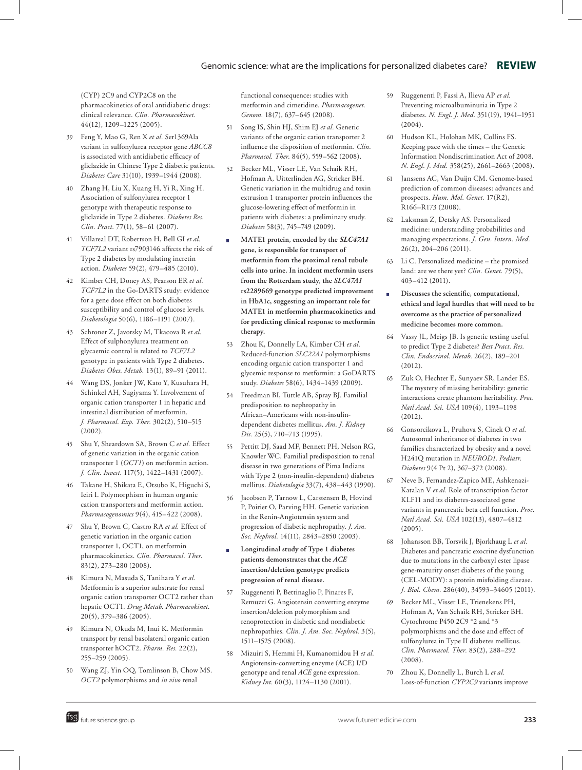# Genomic science: what are the implications for personalized diabetes care? **REVIEW**

(CYP) 2C9 and CYP2C8 on the pharmacokinetics of oral antidiabetic drugs: clinical relevance. *Clin. Pharmacokinet.*  44(12), 1209–1225 (2005).

- 39 Feng Y, Mao G, Ren X *et al.* Ser1369Ala variant in sulfonylurea receptor gene *ABCC8* is associated with antidiabetic efficacy of gliclazide in Chinese Type 2 diabetic patients. *Diabetes Care* 31(10), 1939–1944 (2008).
- 40 Zhang H, Liu X, Kuang H, Yi R, Xing H. Association of sulfonylurea receptor 1 genotype with therapeutic response to gliclazide in Type 2 diabetes. *Diabetes Res. Clin. Pract.* 77(1), 58–61 (2007).
- 41 Villareal DT, Robertson H, Bell GI *et al. TCF7L2* variant rs7903146 affects the risk of Type 2 diabetes by modulating incretin action. *Diabetes* 59(2), 479–485 (2010).
- 42 Kimber CH, Doney AS, Pearson ER *et al. TCF7L2* in the Go-DARTS study: evidence for a gene dose effect on both diabetes susceptibility and control of glucose levels. *Diabetologia* 50(6), 1186–1191 (2007).
- 43 Schroner Z, Javorsky M, Tkacova R *et al.* Effect of sulphonylurea treatment on glycaemic control is related to *TCF7L2* genotype in patients with Type 2 diabetes. *Diabetes Obes. Metab.* 13(1), 89–91 (2011).
- 44 Wang DS, Jonker JW, Kato Y, Kusuhara H, Schinkel AH, Sugiyama Y. Involvement of organic cation transporter 1 in hepatic and intestinal distribution of metformin. *J. Pharmacol. Exp. Ther.* 302(2), 510–515 (2002).
- 45 Shu Y, Sheardown SA, Brown C *et al.* Effect of genetic variation in the organic cation transporter 1 (*OCT1*) on metformin action. *J. Clin. Invest.* 117(5), 1422–1431 (2007).
- 46 Takane H, Shikata E, Otsubo K, Higuchi S, Ieiri I. Polymorphism in human organic cation transporters and metformin action. *Pharmacogenomics* 9(4), 415–422 (2008).
- 47 Shu Y, Brown C, Castro RA *et al.* Effect of genetic variation in the organic cation transporter 1, OCT1, on metformin pharmacokinetics. *Clin. Pharmacol. Ther.*  83(2), 273–280 (2008).
- 48 Kimura N, Masuda S, Tanihara Y *et al.* Metformin is a superior substrate for renal organic cation transporter OCT2 rather than hepatic OCT1. *Drug Metab. Pharmacokinet.* 20(5), 379–386 (2005).
- 49 Kimura N, Okuda M, Inui K. Metformin transport by renal basolateral organic cation transporter hOCT2. *Pharm. Res.* 22(2), 255–259 (2005).
- 50 Wang ZJ, Yin OQ, Tomlinson B, Chow MS. *OCT2* polymorphisms and *in vivo* renal

functional consequence: studies with metformin and cimetidine. *Pharmacogenet.*  Genom. 18(7), 637-645 (2008).

- 51 Song IS, Shin HJ, Shim EJ *et al.* Genetic variants of the organic cation transporter 2 influence the disposition of metformin. *Clin. Pharmacol. Ther.* 84(5), 559–562 (2008).
- 52 Becker ML, Visser LE, Van Schaik RH, Hofman A, Uitterlinden AG, Stricker BH. Genetic variation in the multidrug and toxin extrusion 1 transporter protein influences the glucose-lowering effect of metformin in patients with diabetes: a preliminary study. *Diabetes* 58(3), 745–749 (2009).
- <sup>n</sup>**MATE1 protein, encoded by the** *SLC47A1* **gene, is responsible for transport of metformin from the proximal renal tubule cells into urine. In incident metformin users from the Rotterdam study, the** *SLC47A1* **rs2289669 genotype predicted improvement in HbA1c, suggesting an important role for MATE1 in metformin pharmacokinetics and for predicting clinical response to metformin therapy.**
- 53 Zhou K, Donnelly LA, Kimber CH *et al.* Reduced-function *SLC22A1* polymorphisms encoding organic cation transporter 1 and glycemic response to metformin: a GoDARTS study. *Diabetes* 58(6), 1434–1439 (2009).
- 54 Freedman BI, Tuttle AB, Spray BJ. Familial predisposition to nephropathy in African–Americans with non-insulindependent diabetes mellitus. *Am. J. Kidney Dis.* 25(5), 710–713 (1995).
- Pettitt DJ, Saad MF, Bennett PH, Nelson RG, Knowler WC. Familial predisposition to renal disease in two generations of Pima Indians with Type 2 (non-insulin-dependent) diabetes mellitus. *Diabetologia* 33(7), 438–443 (1990).
- 56 Jacobsen P, Tarnow L, Carstensen B, Hovind P, Poirier O, Parving HH. Genetic variation in the Renin-Angiotensin system and progression of diabetic nephropathy. *J. Am. Soc. Nephrol.* 14(11), 2843–2850 (2003).
- <sup>n</sup>**Longitudinal study of Type 1 diabetes patients demonstrates that the** *ACE* **insertion/deletion genotype predicts progression of renal disease.**
- 57 Ruggenenti P, Bettinaglio P, Pinares F, Remuzzi G. Angiotensin converting enzyme insertion/deletion polymorphism and renoprotection in diabetic and nondiabetic nephropathies. *Clin. J. Am. Soc. Nephrol.* 3(5), 1511–1525 (2008).
- 58 Mizuiri S, Hemmi H, Kumanomidou H *et al.* Angiotensin-converting enzyme (ACE) I/D genotype and renal *ACE* gene expression. *Kidney Int.* 60(3), 1124–1130 (2001).
- 59 Ruggenenti P, Fassi A, Ilieva AP *et al.* Preventing microalbuminuria in Type 2 diabetes. *N. Engl. J. Med.* 351(19), 1941–1951 (2004).
- 60 Hudson KL, Holohan MK, Collins FS. Keeping pace with the times – the Genetic Information Nondiscrimination Act of 2008. *N. Engl. J. Med.* 358(25), 2661–2663 (2008).
- 61 Janssens AC, Van Duijn CM. Genome-based prediction of common diseases: advances and prospects. *Hum. Mol. Genet.* 17(R2), R166–R173 (2008).
- 62 Laksman Z, Detsky AS. Personalized medicine: understanding probabilities and managing expectations. *J. Gen. Intern. Med.*  26(2), 204–206 (2011).
- 63 Li C. Personalized medicine the promised land: are we there yet? *Clin. Genet.* 79(5), 403–412 (2011).
- <sup>n</sup>**Discusses the scientific, computational, ethical and legal hurdles that will need to be overcome as the practice of personalized medicine becomes more common.**
- 64 Vassy JL, Meigs JB. Is genetic testing useful to predict Type 2 diabetes? *Best Pract. Res. Clin. Endocrinol. Metab.* 26(2), 189–201 (2012).
- 65 Zuk O, Hechter E, Sunyaev SR, Lander ES. The mystery of missing heritability: genetic interactions create phantom heritability. *Proc. Natl Acad. Sci. USA* 109(4), 1193–1198  $(2012)$
- 66 Gonsorcikova L, Pruhova S, Cinek O *et al.* Autosomal inheritance of diabetes in two families characterized by obesity and a novel H241Q mutation in *NEUROD1*. *Pediatr. Diabetes* 9(4 Pt 2), 367–372 (2008).
- 67 Neve B, Fernandez-Zapico ME, Ashkenazi-Katalan V *et al.* Role of transcription factor KLF11 and its diabetes-associated gene variants in pancreatic beta cell function. *Proc. Natl Acad. Sci. USA* 102(13), 4807–4812  $(2005)$ .
- 68 Johansson BB, Torsvik J, Bjorkhaug L *et al.* Diabetes and pancreatic exocrine dysfunction due to mutations in the carboxyl ester lipase gene-maturity onset diabetes of the young (CEL-MODY): a protein misfolding disease. *J. Biol. Chem.* 286(40), 34593–34605 (2011).
- 69 Becker ML, Visser LE, Trienekens PH, Hofman A, Van Schaik RH, Stricker BH. Cytochrome P450 2C9 \*2 and \*3 polymorphisms and the dose and effect of sulfonylurea in Type II diabetes mellitus. *Clin. Pharmacol. Ther.* 83(2), 288–292  $(2008)$
- 70 Zhou K, Donnelly L, Burch L *et al.* Loss-of-function *CYP2C9* variants improve